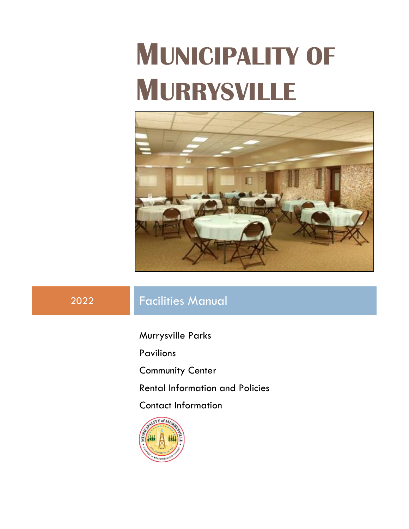# **MUNICIPALITY OF MURRYSVILLE**



## 2022 Facilities Manual

Murrysville Parks

Pavilions

Community Center

Rental Information and Policies

Contact Information

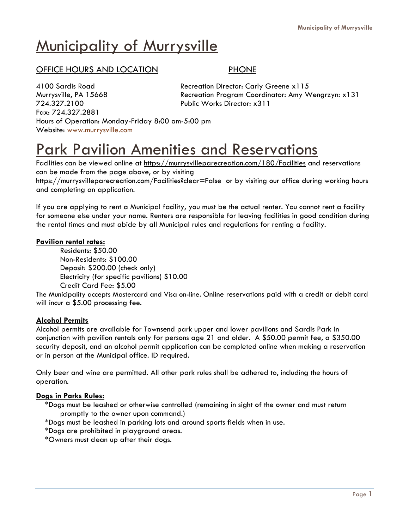## **Municipality of Murrysville**

### OFFICE HOURS AND LOCATION **PHONE**

4100 Sardis Road Recreation Director: Carly Greene x115 724.327.2100 Public Works Director: x311 Fax: 724.327.2881 Hours of Operation: Monday-Friday 8:00 am-5:00 pm Website: [www.murrysville.com](http://www.murrysville.com/)

Murrysville, PA 15668 Recreation Program Coordinator: Amy Wengrzyn: x131

## Park Pavilion Amenities and Reservations

Facilities can be viewed online at<https://murrysvilleparecreation.com/180/Facilities> and reservations can be made from the page above, or by visiting

<https://murrysvilleparecreation.com/Facilities?clear=False> or by visiting our office during working hours and completing an application.

If you are applying to rent a Municipal facility, you must be the actual renter. You cannot rent a facility for someone else under your name. Renters are responsible for leaving facilities in good condition during the rental times and must abide by all Municipal rules and regulations for renting a facility.

#### **Pavilion rental rates:**

Residents: \$50.00 Non-Residents: \$100.00 Deposit: \$200.00 (check only) Electricity (for specific pavilions) \$10.00 Credit Card Fee: \$5.00

The Municipality accepts Mastercard and Visa on-line. Online reservations paid with a credit or debit card will incur a \$5.00 processing fee.

#### **Alcohol Permits**

Alcohol permits are available for Townsend park upper and lower pavilions and Sardis Park in conjunction with pavilion rentals only for persons age 21 and older. A \$50.00 permit fee, a \$350.00 security deposit, and an alcohol permit application can be completed online when making a reservation or in person at the Municipal office. ID required.

Only beer and wine are permitted. All other park rules shall be adhered to, including the hours of operation.

#### **Dogs in Parks Rules:**

 \*Dogs must be leashed or otherwise controlled (remaining in sight of the owner and must return promptly to the owner upon command.)

\*Dogs must be leashed in parking lots and around sports fields when in use.

\*Dogs are prohibited in playground areas.

\*Owners must clean up after their dogs.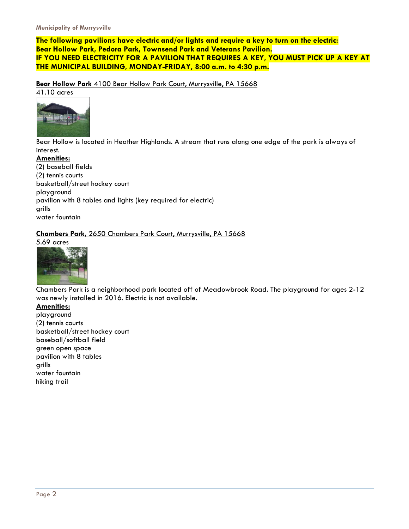**The following pavilions have electric and/or lights and require a key to turn on the electric: Bear Hollow Park, Pedora Park, Townsend Park and Veterans Pavilion. IF YOU NEED ELECTRICITY FOR A PAVILION THAT REQUIRES A KEY, YOU MUST PICK UP A KEY AT THE MUNICIPAL BUILDING, MONDAY-FRIDAY, 8:00 a.m. to 4:30 p.m.**

**Bear Hollow Park** 4100 Bear Hollow Park Court, Murrysville, PA 15668

41.10 acres



Bear Hollow is located in Heather Highlands. A stream that runs along one edge of the park is always of interest.

**Amenities:** (2) baseball fields (2) tennis courts basketball/street hockey court playground pavilion with 8 tables and lights (key required for electric) grills water fountain

**Chambers Park,** 2650 Chambers Park Court, Murrysville, PA 15668 5.69 acres



Chambers Park is a neighborhood park located off of Meadowbrook Road. The playground for ages 2-12 was newly installed in 2016. Electric is not available.

**Amenities:**  playground (2) tennis courts basketball/street hockey court baseball/softball field green open space pavilion with 8 tables grills water fountain hiking trail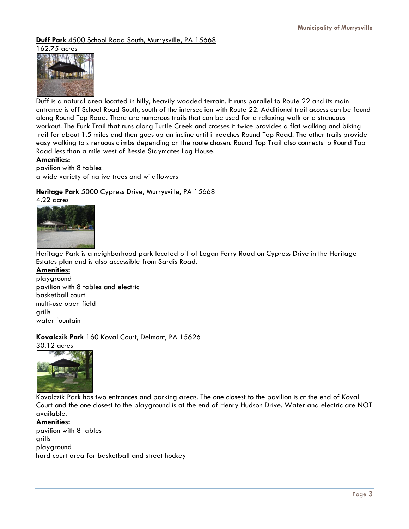**Duff Park** 4500 School Road South, Murrysville, PA 15668 162.75 acres



Duff is a natural area located in hilly, heavily wooded terrain. It runs parallel to Route 22 and its main entrance is off School Road South, south of the intersection with Route 22. Additional trail access can be found along Round Top Road. There are numerous trails that can be used for a relaxing walk or a strenuous workout. The Funk Trail that runs along Turtle Creek and crosses it twice provides a flat walking and biking trail for about 1.5 miles and then goes up an incline until it reaches Round Top Road. The other trails provide easy walking to strenuous climbs depending on the route chosen. Round Top Trail also connects to Round Top Road less than a mile west of Bessie Staymates Log House.

#### **Amenities:**

pavilion with 8 tables a wide variety of native trees and wildflowers

#### **Heritage Park** 5000 Cypress Drive, Murrysville, PA 15668

4.22 acres



Heritage Park is a neighborhood park located off of Logan Ferry Road on Cypress Drive in the Heritage Estates plan and is also accessible from Sardis Road.

#### **Amenities:**

playground pavilion with 8 tables and electric basketball court multi-use open field grills water fountain

#### **Kovalczik Park** 160 Koval Court, Delmont, PA 15626

30.12 acres



Kovalczik Park has two entrances and parking areas. The one closest to the pavilion is at the end of Koval Court and the one closest to the playground is at the end of Henry Hudson Drive. Water and electric are NOT available.

**Amenities:** pavilion with 8 tables grills playground hard court area for basketball and street hockey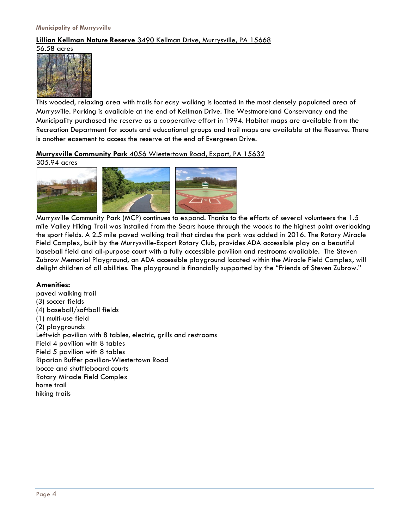#### **Lillian Kellman Nature Reserve** 3490 Kellman Drive, Murrysville, PA 15668 56.58 acres



This wooded, relaxing area with trails for easy walking is located in the most densely populated area of Murrysville. Parking is available at the end of Kellman Drive. The Westmoreland Conservancy and the Municipality purchased the reserve as a cooperative effort in 1994. Habitat maps are available from the Recreation Department for scouts and educational groups and trail maps are available at the Reserve. There is another easement to access the reserve at the end of Evergreen Drive.

**Murrysville Community Park** 4056 Wiestertown Road, Export, PA 15632

305.94 acres



Murrysville Community Park (MCP) continues to expand. Thanks to the efforts of several volunteers the 1.5 mile Valley Hiking Trail was installed from the Sears house through the woods to the highest point overlooking the sport fields. A 2.5 mile paved walking trail that circles the park was added in 2016. The Rotary Miracle Field Complex, built by the Murrysville-Export Rotary Club, provides ADA accessible play on a beautiful baseball field and all-purpose court with a fully accessible pavilion and restrooms available. The Steven Zubrow Memorial Playground, an ADA accessible playground located within the Miracle Field Complex, will delight children of all abilities. The playground is financially supported by the "Friends of Steven Zubrow."

#### **Amenities:**

paved walking trail (3) soccer fields (4) baseball/softball fields (1) multi-use field (2) playgrounds Leftwich pavilion with 8 tables, electric, grills and restrooms Field 4 pavilion with 8 tables Field 5 pavilion with 8 tables Riparian Buffer pavilion-Wiestertown Road bocce and shuffleboard courts Rotary Miracle Field Complex horse trail hiking trails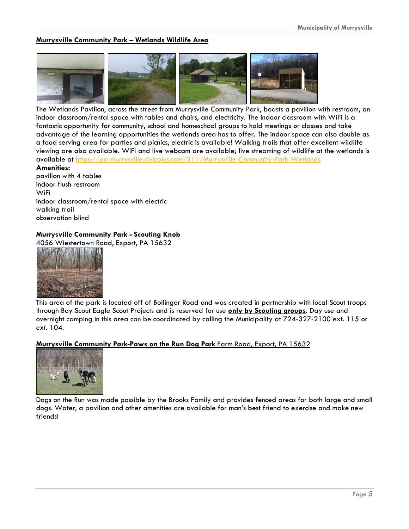#### **Murrysville Community Park – Wetlands Wildlife Area**



The Wetlands Pavilion, across the street from Murrysville Community Park, boasts a pavilion with restroom, an indoor classroom/rental space with tables and chairs, and electricity. The indoor classroom with WiFi is a fantastic opportunity for community, school and homeschool groups to hold meetings or classes and take advantage of the learning opportunities the wetlands area has to offer. The indoor space can also double as a food serving area for parties and picnics, electric is available! Walking trails that offer excellent wildlife viewing are also available. WiFi and live webcam are available; live streaming of wildlife at the wetlands is available at https://pa-[murrysville.civicplus.com/311/Murrysville](https://pa-murrysville.civicplus.com/311/Murrysville-Community-Park-Wetlands)-Community-Park-Wetlands

**Amenities:**

pavilion with 4 tables indoor flush restroom WiFi indoor classroom/rental space with electric walking trail observation blind

#### **Murrysville Community Park - Scouting Knob**

4056 Wiestertown Road, Export, PA 15632



This area of the park is located off of Bollinger Road and was created in partnership with local Scout troops through Boy Scout Eagle Scout Projects and is reserved for use **only by Scouting groups**. Day use and overnight camping in this area can be coordinated by calling the Municipality at 724-327-2100 ext. 115 or ext. 104.

#### **Murrysville Community Park-Paws on the Run Dog Park** Farm Road, Export, PA 15632



Dogs on the Run was made possible by the Brooks Family and provides fenced areas for both large and small dogs. Water, a pavilion and other amenities are available for man's best friend to exercise and make new friends!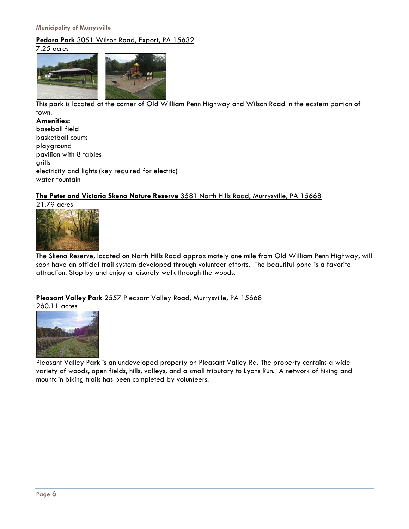#### **Pedora Park** 3051 Wilson Road, Export, PA 15632

7.25 acres



This park is located at the corner of Old William Penn Highway and Wilson Road in the eastern portion of town.

**Amenities:** baseball field basketball courts playground pavilion with 8 tables grills electricity and lights (key required for electric) water fountain

#### **The Peter and Victoria Skena Nature Reserve** 3581 North Hills Road, Murrysville, PA 15668

21.79 acres



The Skena Reserve, located on North Hills Road approximately one mile from Old William Penn Highway, will soon have an official trail system developed through volunteer efforts. The beautiful pond is a favorite attraction. Stop by and enjoy a leisurely walk through the woods.

#### **Pleasant Valley Park** 2557 Pleasant Valley Road, Murrysville, PA 15668

260.11 acres



Pleasant Valley Park is an undeveloped property on Pleasant Valley Rd. The property contains a wide variety of woods, open fields, hills, valleys, and a small tributary to Lyons Run. A network of hiking and mountain biking trails has been completed by volunteers.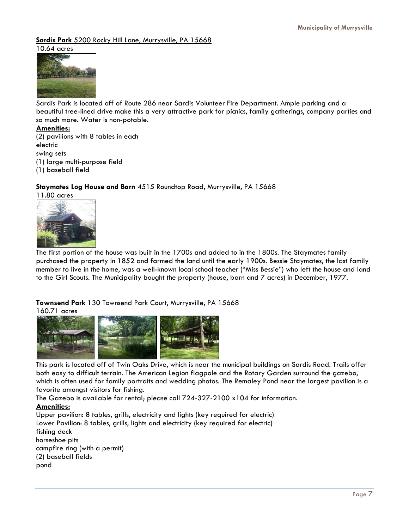**Sardis Park** 5200 Rocky Hill Lane, Murrysville, PA 15668 10.64 acres



Sardis Park is located off of Route 286 near Sardis Volunteer Fire Department. Ample parking and a beautiful tree-lined drive make this a very attractive park for picnics, family gatherings, company parties and so much more. Water is non-potable.

#### **Amenities:**

(2) pavilions with 8 tables in each electric swing sets (1) large multi-purpose field

(1) baseball field

#### **Staymates Log House and Barn** 4515 Roundtop Road, Murrysville, PA 15668



The first portion of the house was built in the 1700s and added to in the 1800s. The Staymates family purchased the property in 1852 and farmed the land until the early 1900s. Bessie Staymates, the last family member to live in the home, was a well-known local school teacher ("Miss Bessie") who left the house and land to the Girl Scouts. The Municipality bought the property (house, barn and 7 acres) in December, 1977.

#### **Townsend Park** 130 Townsend Park Court, Murrysville, PA 15668

160.71 acres



This park is located off of Twin Oaks Drive, which is near the municipal buildings on Sardis Road. Trails offer both easy to difficult terrain. The American Legion flagpole and the Rotary Garden surround the gazebo, which is often used for family portraits and wedding photos. The Remaley Pond near the largest pavilion is a favorite amongst visitors for fishing.

The Gazebo is available for rental; please call 724-327-2100 x104 for information. **Amenities:**

Upper pavilion: 8 tables, grills, electricity and lights (key required for electric) Lower Pavilion: 8 tables, grills, lights and electricity (key required for electric) fishing deck horseshoe pits campfire ring (with a permit) (2) baseball fields pond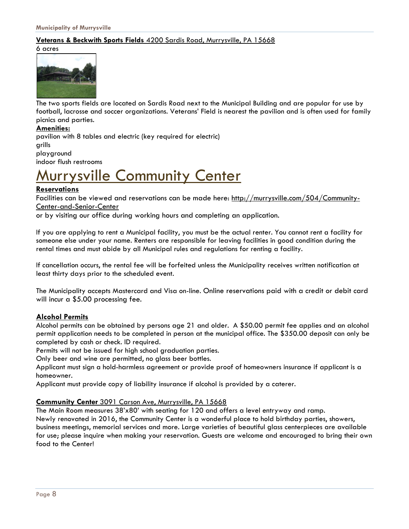#### **Veterans & Beckwith Sports Fields** 4200 Sardis Road, Murrysville, PA 15668

#### 6 acres



The two sports fields are located on Sardis Road next to the Municipal Building and are popular for use by football, lacrosse and soccer organizations. Veterans' Field is nearest the pavilion and is often used for family picnics and parties.

#### **Amenities:**

pavilion with 8 tables and electric (key required for electric) grills playground indoor flush restrooms

## urrysville Community Center

#### **Reservations**

Facilities can be viewed and reservations can be made here: [http://murrysville.com/504/Community](http://murrysville.com/504/Community-Center-and-Senior-Center)-Center-and-Senior-[Center](http://murrysville.com/504/Community-Center-and-Senior-Center)

or by visiting our office during working hours and completing an application.

If you are applying to rent a Municipal facility, you must be the actual renter. You cannot rent a facility for someone else under your name. Renters are responsible for leaving facilities in good condition during the rental times and must abide by all Municipal rules and regulations for renting a facility.

If cancellation occurs, the rental fee will be forfeited unless the Municipality receives written notification at least thirty days prior to the scheduled event.

The Municipality accepts Mastercard and Visa on-line. Online reservations paid with a credit or debit card will incur a \$5.00 processing fee.

#### **Alcohol Permits**

Alcohol permits can be obtained by persons age 21 and older. A \$50.00 permit fee applies and an alcohol permit application needs to be completed in person at the municipal office. The \$350.00 deposit can only be completed by cash or check. ID required.

Permits will not be issued for high school graduation parties.

Only beer and wine are permitted, no glass beer bottles.

Applicant must sign a hold-harmless agreement or provide proof of homeowners insurance if applicant is a homeowner.

Applicant must provide copy of liability insurance if alcohol is provided by a caterer.

#### **Community Center** 3091 Carson Ave, Murrysville, PA 15668

The Main Room measures 38'x80' with seating for 120 and offers a level entryway and ramp.

Newly renovated in 2016, the Community Center is a wonderful place to hold birthday parties, showers, business meetings, memorial services and more. Large varieties of beautiful glass centerpieces are available for use; please inquire when making your reservation. Guests are welcome and encouraged to bring their own food to the Center!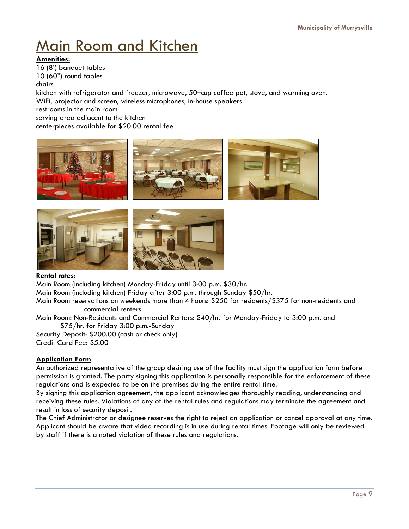## Main Room and Kitchen

#### **Amenities:**

16 (8') banquet tables 10 (60") round tables chairs

kitchen with refrigerator and freezer, microwave, 50–cup coffee pot, stove, and warming oven. WiFi, projector and screen, wireless microphones, in-house speakers restrooms in the main room

serving area adjacent to the kitchen centerpieces available for \$20.00 rental fee





#### **Rental rates:**

Main Room (including kitchen) Monday-Friday until 3:00 p.m. \$30/hr.

Main Room (including kitchen) Friday after 3:00 p.m. through Sunday \$50/hr.

Main Room reservations on weekends more than 4 hours: \$250 for residents/\$375 for non-residents and commercial renters

Main Room: Non-Residents and Commercial Renters: \$40/hr. for Monday-Friday to 3:00 p.m. and \$75/hr. for Friday 3:00 p.m.-Sunday

Security Deposit: \$200.00 (cash or check only) Credit Card Fee: \$5.00

### **Application Form**

An authorized representative of the group desiring use of the facility must sign the application form before permission is granted. The party signing this application is personally responsible for the enforcement of these regulations and is expected to be on the premises during the entire rental time.

By signing this application agreement, the applicant acknowledges thoroughly reading, understanding and receiving these rules. Violations of any of the rental rules and regulations may terminate the agreement and result in loss of security deposit.

The Chief Administrator or designee reserves the right to reject an application or cancel approval at any time. Applicant should be aware that video recording is in use during rental times. Footage will only be reviewed by staff if there is a noted violation of these rules and regulations.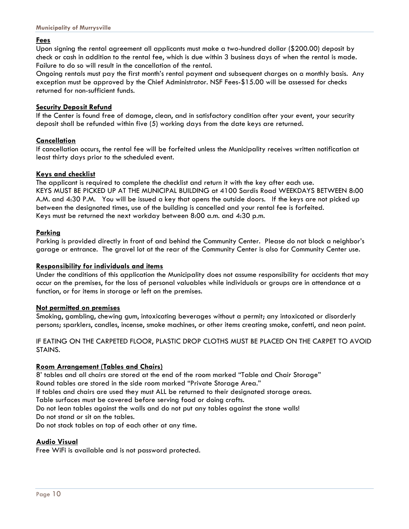#### **Fees**

Upon signing the rental agreement all applicants must make a two-hundred dollar (\$200.00) deposit by check or cash in addition to the rental fee, which is due within 3 business days of when the rental is made. Failure to do so will result in the cancellation of the rental.

Ongoing rentals must pay the first month's rental payment and subsequent charges on a monthly basis. Any exception must be approved by the Chief Administrator. NSF Fees-\$15.00 will be assessed for checks returned for non-sufficient funds.

#### **Security Deposit Refund**

If the Center is found free of damage, clean, and in satisfactory condition after your event, your security deposit shall be refunded within five (5) working days from the date keys are returned.

#### **Cancellation**

If cancellation occurs, the rental fee will be forfeited unless the Municipality receives written notification at least thirty days prior to the scheduled event.

#### **Keys and checklist**

The applicant is required to complete the checklist and return it with the key after each use. KEYS MUST BE PICKED UP AT THE MUNICIPAL BUILDING at 4100 Sardis Road WEEKDAYS BETWEEN 8:00 A.M. and 4:30 P.M. You will be issued a key that opens the outside doors. If the keys are not picked up between the designated times, use of the building is cancelled and your rental fee is forfeited. Keys must be returned the next workday between 8:00 a.m. and 4:30 p.m.

#### **Parking**

Parking is provided directly in front of and behind the Community Center. Please do not block a neighbor's garage or entrance. The gravel lot at the rear of the Community Center is also for Community Center use.

#### **Responsibility for individuals and items**

Under the conditions of this application the Municipality does not assume responsibility for accidents that may occur on the premises, for the loss of personal valuables while individuals or groups are in attendance at a function, or for items in storage or left on the premises.

#### **Not permitted on premises**

Smoking, gambling, chewing gum, intoxicating beverages without a permit; any intoxicated or disorderly persons; sparklers, candles, incense, smoke machines, or other items creating smoke, confetti, and neon paint.

#### IF EATING ON THE CARPETED FLOOR, PLASTIC DROP CLOTHS MUST BE PLACED ON THE CARPET TO AVOID STAINS.

#### **Room Arrangement (Tables and Chairs)**

8' tables and all chairs are stored at the end of the room marked "Table and Chair Storage"

Round tables are stored in the side room marked "Private Storage Area."

If tables and chairs are used they must ALL be returned to their designated storage areas.

Table surfaces must be covered before serving food or doing crafts.

Do not lean tables against the walls and do not put any tables against the stone walls!

Do not stand or sit on the tables.

Do not stack tables on top of each other at any time.

#### **Audio Visual**

Free WiFi is available and is not password protected.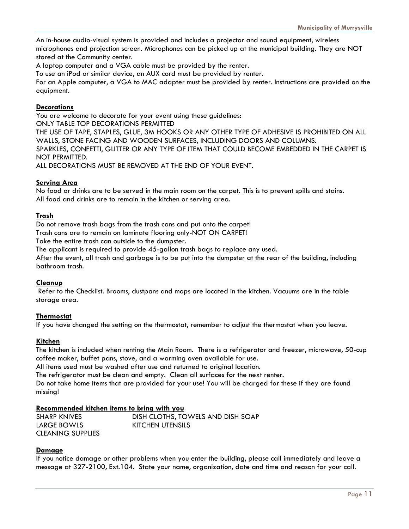An in-house audio-visual system is provided and includes a projector and sound equipment, wireless microphones and projection screen. Microphones can be picked up at the municipal building. They are NOT stored at the Community center.

A laptop computer and a VGA cable must be provided by the renter.

To use an iPod or similar device, an AUX cord must be provided by renter.

For an Apple computer, a VGA to MAC adapter must be provided by renter. Instructions are provided on the equipment.

#### **Decorations**

You are welcome to decorate for your event using these guidelines:

ONLY TABLE TOP DECORATIONS PERMITTED

THE USE OF TAPE, STAPLES, GLUE, 3M HOOKS OR ANY OTHER TYPE OF ADHESIVE IS PROHIBITED ON ALL WALLS, STONE FACING AND WOODEN SURFACES, INCLUDING DOORS AND COLUMNS. SPARKLES, CONFETTI, GLITTER OR ANY TYPE OF ITEM THAT COULD BECOME EMBEDDED IN THE CARPET IS NOT PERMITTED.

ALL DECORATIONS MUST BE REMOVED AT THE END OF YOUR EVENT.

#### **Serving Area**

No food or drinks are to be served in the main room on the carpet. This is to prevent spills and stains. All food and drinks are to remain in the kitchen or serving area.

#### **Trash**

Do not remove trash bags from the trash cans and put onto the carpet!

Trash cans are to remain on laminate flooring only-NOT ON CARPET!

Take the entire trash can outside to the dumpster.

The applicant is required to provide 45-gallon trash bags to replace any used.

After the event, all trash and garbage is to be put into the dumpster at the rear of the building, including bathroom trash.

#### **Cleanup**

Refer to the Checklist. Brooms, dustpans and mops are located in the kitchen. Vacuums are in the table storage area.

#### **Thermostat**

If you have changed the setting on the thermostat, remember to adjust the thermostat when you leave.

#### **Kitchen**

The kitchen is included when renting the Main Room. There is a refrigerator and freezer, microwave, 50-cup coffee maker, buffet pans, stove, and a warming oven available for use.

All items used must be washed after use and returned to original location.

The refrigerator must be clean and empty. Clean all surfaces for the next renter.

Do not take home items that are provided for your use! You will be charged for these if they are found missing!

#### **Recommended kitchen items to bring with you**

| <b>SHARP KNIVES</b>      | DISH CLOTHS, TOWELS AND DISH SOAP |
|--------------------------|-----------------------------------|
| LARGE BOWLS              | KITCHEN UTENSILS                  |
| <b>CLEANING SUPPLIES</b> |                                   |

#### **Damage**

If you notice damage or other problems when you enter the building, please call immediately and leave a message at 327-2100, Ext.104. State your name, organization, date and time and reason for your call.